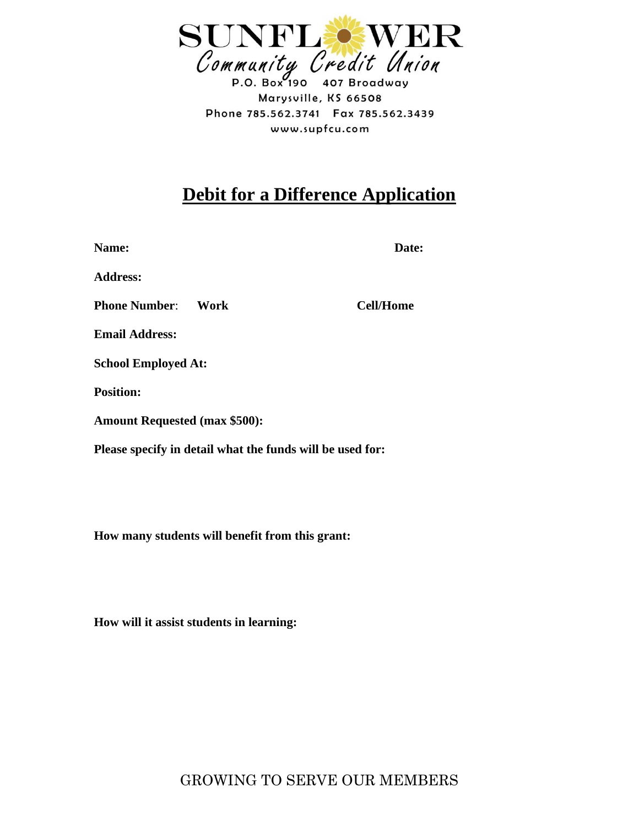

Marysville, KS 66508 Phone 785.562.3741 Fax 785.562.3439 www.supfcu.com

## **Debit for a Difference Application**

Name: **Date: Date: Date: Date:** 

**Address:**

**Phone Number**: **Work Cell/Home**

**Email Address:** 

**School Employed At:** 

**Position:**

**Amount Requested (max \$500):**

**Please specify in detail what the funds will be used for:** 

**How many students will benefit from this grant:**

**How will it assist students in learning:**

GROWING TO SERVE OUR MEMBERS